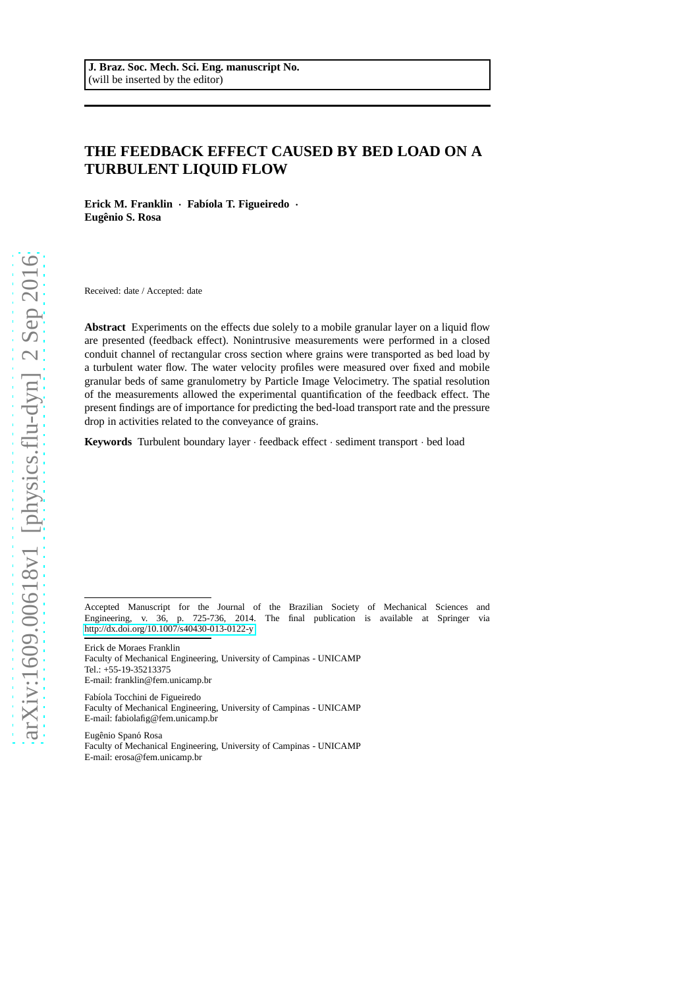# **THE FEEDBACK EFFECT CAUSED BY BED LOAD ON A TURBULENT LIQUID FLOW**

Erick M. Franklin · Fabíola T. Figueiredo · **Eugenio S. Rosa ˆ**

Received: date / Accepted: date

**Abstract** Experiments on the effects due solely to a mobile granular layer on a liquid flow are presented (feedback effect). Nonintrusive measurements were performed in a closed conduit channel of rectangular cross section where grains were transported as bed load by a turbulent water flow. The water velocity profiles were measured over fixed and mobile granular beds of same granulometry by Particle Image Velocimetry. The spatial resolution of the measurements allowed the experimental quantification of the feedback effect. The present findings are of importance for predicting the bed-load transport rate and the pressure drop in activities related to the conveyance of grains.

**Keywords** Turbulent boundary layer · feedback effect · sediment transport · bed load

Accepted Manuscript for the Journal of the Brazilian Society of Mechanical Sciences and Engineering, v. 36, p. 725-736, 2014. The final publication is available at Springer via 725-736, 2014. The final publication is available at Springer via <http://dx.doi.org/10.1007/s40430-013-0122-y>

Erick de Moraes Franklin

Faculty of Mechanical Engineering, University of Campinas - UNICAMP Tel.: +55-19-35213375 E-mail: franklin@fem.unicamp.br

Fabíola Tocchini de Figueiredo Faculty of Mechanical Engineering, University of Campinas - UNICAMP E-mail: fabiolafig@fem.unicamp.br

Eugênio Spanó Rosa Faculty of Mechanical Engineering, University of Campinas - UNICAMP E-mail: erosa@fem.unicamp.br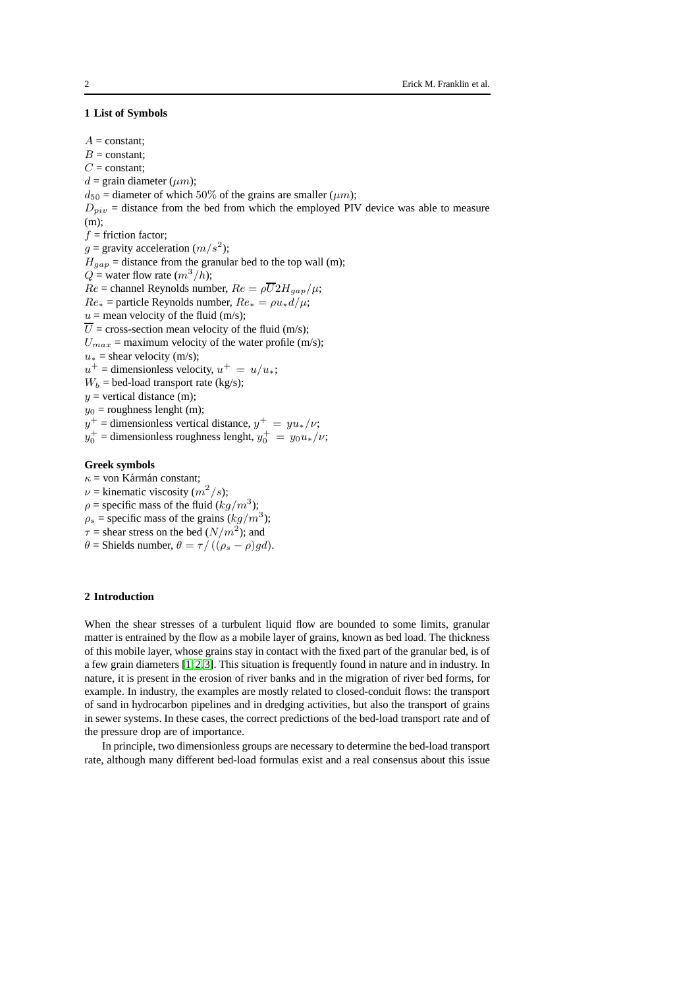# **1 List of Symbols**

 $A = constant$ :  $B =$ constant;  $C =$ constant;  $d = \text{grain diameter } (um):$  $d_{50}$  = diameter of which 50% of the grains are smaller ( $\mu$ m);  $D_{piv}$  = distance from the bed from which the employed PIV device was able to measure (m);  $f =$  friction factor;  $g =$  gravity acceleration  $(m/s^2)$ ;  $H_{gap}$  = distance from the granular bed to the top wall (m);  $Q =$  water flow rate  $(m^3/h)$ ;  $Re =$ channel Reynolds number,  $Re = \rho \overline{U} 2H_{gap}/\mu$ ;  $Re_*$  = particle Reynolds number,  $Re_* = \rho u_* d/\mu;$  $u =$  mean velocity of the fluid (m/s);  $\overline{U}$  = cross-section mean velocity of the fluid (m/s);  $U_{max}$  = maximum velocity of the water profile (m/s);  $u_*$  = shear velocity (m/s);  $u^+$  = dimensionless velocity,  $u^+ = u/u_*$ ;  $W_b =$  bed-load transport rate (kg/s);  $y$  = vertical distance (m);  $y_0$  = roughness lenght (m);  $y^+$  = dimensionless vertical distance,  $y^+ = y u_* / \nu;$  $y_0^+$  = dimensionless roughness lenght,  $y_0^+ = y_0 u_*/\nu$ ; **Greek symbols**

 $\kappa$  = von Kármán constant;  $\nu$  = kinematic viscosity  $(m^2/s)$ ;  $\rho$  = specific mass of the fluid  $(kg/m^3)$ ;  $\rho_s$  = specific mass of the grains  $(kg/m^3)$ ;  $\tau$  = shear stress on the bed  $(N/m^2)$ ; and  $\theta$  = Shields number,  $\theta = \tau / ((\rho_s - \rho)gd)$ .

# **2 Introduction**

When the shear stresses of a turbulent liquid flow are bounded to some limits, granular matter is entrained by the flow as a mobile layer of grains, known as bed load. The thickness of this mobile layer, whose grains stay in contact with the fixed part of the granular bed, is of a few grain diameters [\[1,](#page-17-0)[2,](#page-17-1)[3\]](#page-17-2). This situation is frequently found in nature and in industry. In nature, it is present in the erosion of river banks and in the migration of river bed forms, for example. In industry, the examples are mostly related to closed-conduit flows: the transport of sand in hydrocarbon pipelines and in dredging activities, but also the transport of grains in sewer systems. In these cases, the correct predictions of the bed-load transport rate and of the pressure drop are of importance.

In principle, two dimensionless groups are necessary to determine the bed-load transport rate, although many different bed-load formulas exist and a real consensus about this issue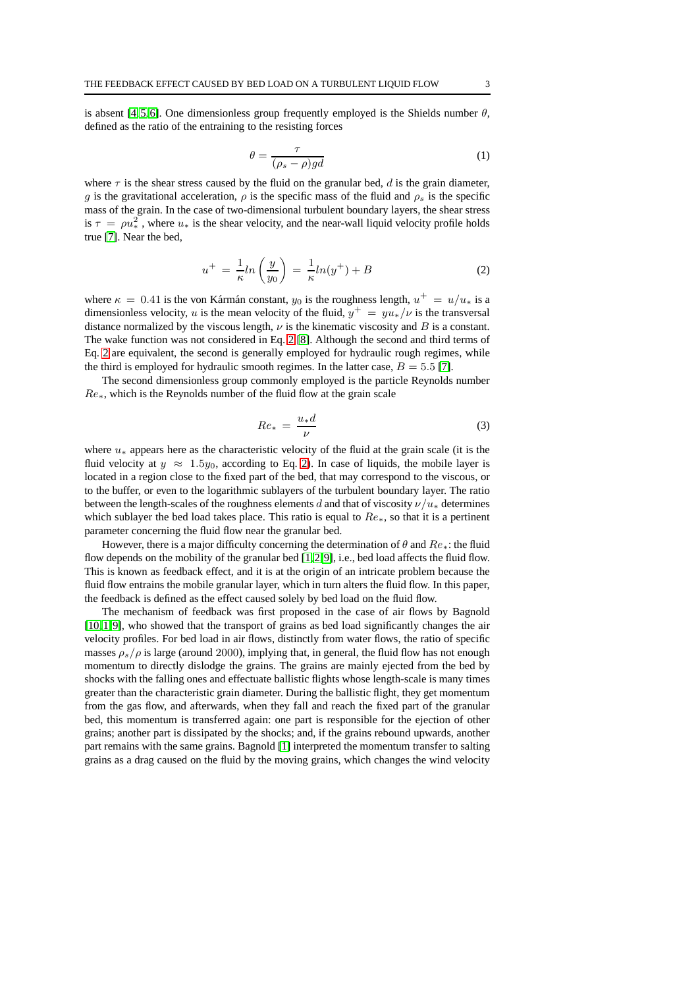<span id="page-2-2"></span>is absent [\[4,](#page-17-3)[5,](#page-17-4)[6\]](#page-17-5). One dimensionless group frequently employed is the Shields number  $\theta$ , defined as the ratio of the entraining to the resisting forces

$$
\theta = \frac{\tau}{(\rho_s - \rho)gd} \tag{1}
$$

<span id="page-2-0"></span>where  $\tau$  is the shear stress caused by the fluid on the granular bed, d is the grain diameter, g is the gravitational acceleration,  $\rho$  is the specific mass of the fluid and  $\rho_s$  is the specific mass of the grain. In the case of two-dimensional turbulent boundary layers, the shear stress is  $\tau = \rho u^2_*$ , where  $u_*$  is the shear velocity, and the near-wall liquid velocity profile holds true [\[7\]](#page-17-6). Near the bed,

$$
u^{+} = \frac{1}{\kappa} ln\left(\frac{y}{y_0}\right) = \frac{1}{\kappa} ln(y^{+}) + B
$$
\n(2)

where  $\kappa = 0.41$  is the von Kármán constant,  $y_0$  is the roughness length,  $u^+ = u/u_*$  is a dimensionless velocity, u is the mean velocity of the fluid,  $y^+ = y u_* / \nu$  is the transversal distance normalized by the viscous length,  $\nu$  is the kinematic viscosity and  $B$  is a constant. The wake function was not considered in Eq. [2](#page-2-0) [\[8\]](#page-17-7). Although the second and third terms of Eq. [2](#page-2-0) are equivalent, the second is generally employed for hydraulic rough regimes, while the third is employed for hydraulic smooth regimes. In the latter case,  $B = 5.5$  [\[7\]](#page-17-6).

<span id="page-2-1"></span>The second dimensionless group commonly employed is the particle Reynolds number  $Re_{\ast}$ , which is the Reynolds number of the fluid flow at the grain scale

$$
Re_* = \frac{u_* d}{\nu} \tag{3}
$$

where  $u_*$  appears here as the characteristic velocity of the fluid at the grain scale (it is the fluid velocity at  $y \approx 1.5y_0$ , according to Eq. [2\)](#page-2-0). In case of liquids, the mobile layer is located in a region close to the fixed part of the bed, that may correspond to the viscous, or to the buffer, or even to the logarithmic sublayers of the turbulent boundary layer. The ratio between the length-scales of the roughness elements d and that of viscosity  $\nu/u_*$  determines which sublayer the bed load takes place. This ratio is equal to  $Re_{\ast}$ , so that it is a pertinent parameter concerning the fluid flow near the granular bed.

However, there is a major difficulty concerning the determination of  $\theta$  and  $Re_*$ : the fluid flow depends on the mobility of the granular bed [\[1,](#page-17-0)[2,](#page-17-1)[9\]](#page-17-8), i.e., bed load affects the fluid flow. This is known as feedback effect, and it is at the origin of an intricate problem because the fluid flow entrains the mobile granular layer, which in turn alters the fluid flow. In this paper, the feedback is defined as the effect caused solely by bed load on the fluid flow.

The mechanism of feedback was first proposed in the case of air flows by Bagnold [\[10,](#page-17-9)[1,](#page-17-0)[9\]](#page-17-8), who showed that the transport of grains as bed load significantly changes the air velocity profiles. For bed load in air flows, distinctly from water flows, the ratio of specific masses  $\rho_s/\rho$  is large (around 2000), implying that, in general, the fluid flow has not enough momentum to directly dislodge the grains. The grains are mainly ejected from the bed by shocks with the falling ones and effectuate ballistic flights whose length-scale is many times greater than the characteristic grain diameter. During the ballistic flight, they get momentum from the gas flow, and afterwards, when they fall and reach the fixed part of the granular bed, this momentum is transferred again: one part is responsible for the ejection of other grains; another part is dissipated by the shocks; and, if the grains rebound upwards, another part remains with the same grains. Bagnold [\[1\]](#page-17-0) interpreted the momentum transfer to salting grains as a drag caused on the fluid by the moving grains, which changes the wind velocity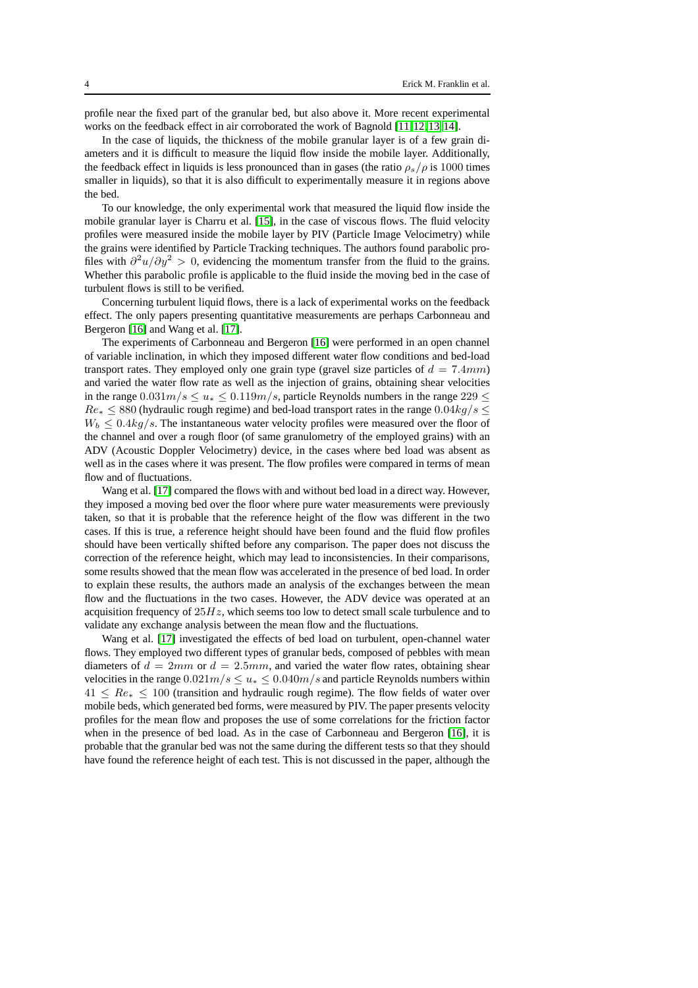profile near the fixed part of the granular bed, but also above it. More recent experimental works on the feedback effect in air corroborated the work of Bagnold [\[11,](#page-17-10)[12,](#page-17-11)[13,](#page-17-12)[14\]](#page-17-13).

In the case of liquids, the thickness of the mobile granular layer is of a few grain diameters and it is difficult to measure the liquid flow inside the mobile layer. Additionally, the feedback effect in liquids is less pronounced than in gases (the ratio  $\rho_s/\rho$  is 1000 times smaller in liquids), so that it is also difficult to experimentally measure it in regions above the bed.

To our knowledge, the only experimental work that measured the liquid flow inside the mobile granular layer is Charru et al. [\[15\]](#page-17-14), in the case of viscous flows. The fluid velocity profiles were measured inside the mobile layer by PIV (Particle Image Velocimetry) while the grains were identified by Particle Tracking techniques. The authors found parabolic profiles with  $\frac{\partial^2 u}{\partial y^2} > 0$ , evidencing the momentum transfer from the fluid to the grains. Whether this parabolic profile is applicable to the fluid inside the moving bed in the case of turbulent flows is still to be verified.

Concerning turbulent liquid flows, there is a lack of experimental works on the feedback effect. The only papers presenting quantitative measurements are perhaps Carbonneau and Bergeron [\[16\]](#page-17-15) and Wang et al. [\[17\]](#page-17-16).

The experiments of Carbonneau and Bergeron [\[16\]](#page-17-15) were performed in an open channel of variable inclination, in which they imposed different water flow conditions and bed-load transport rates. They employed only one grain type (gravel size particles of  $d = 7.4mm$ ) and varied the water flow rate as well as the injection of grains, obtaining shear velocities in the range  $0.031m/s \le u_* \le 0.119m/s$ , particle Reynolds numbers in the range  $229 \le$  $Re_* \leq 880$  (hydraulic rough regime) and bed-load transport rates in the range  $0.04kg/s \leq$  $W_b \n\leq 0.4 kq/s$ . The instantaneous water velocity profiles were measured over the floor of the channel and over a rough floor (of same granulometry of the employed grains) with an ADV (Acoustic Doppler Velocimetry) device, in the cases where bed load was absent as well as in the cases where it was present. The flow profiles were compared in terms of mean flow and of fluctuations.

Wang et al. [\[17\]](#page-17-16) compared the flows with and without bed load in a direct way. However, they imposed a moving bed over the floor where pure water measurements were previously taken, so that it is probable that the reference height of the flow was different in the two cases. If this is true, a reference height should have been found and the fluid flow profiles should have been vertically shifted before any comparison. The paper does not discuss the correction of the reference height, which may lead to inconsistencies. In their comparisons, some results showed that the mean flow was accelerated in the presence of bed load. In order to explain these results, the authors made an analysis of the exchanges between the mean flow and the fluctuations in the two cases. However, the ADV device was operated at an acquisition frequency of  $25Hz$ , which seems too low to detect small scale turbulence and to validate any exchange analysis between the mean flow and the fluctuations.

Wang et al. [\[17\]](#page-17-16) investigated the effects of bed load on turbulent, open-channel water flows. They employed two different types of granular beds, composed of pebbles with mean diameters of  $d = 2mm$  or  $d = 2.5mm$ , and varied the water flow rates, obtaining shear velocities in the range  $0.021m/s \le u_* \le 0.040m/s$  and particle Reynolds numbers within  $41 \leq Re_* \leq 100$  (transition and hydraulic rough regime). The flow fields of water over mobile beds, which generated bed forms, were measured by PIV. The paper presents velocity profiles for the mean flow and proposes the use of some correlations for the friction factor when in the presence of bed load. As in the case of Carbonneau and Bergeron [\[16\]](#page-17-15), it is probable that the granular bed was not the same during the different tests so that they should have found the reference height of each test. This is not discussed in the paper, although the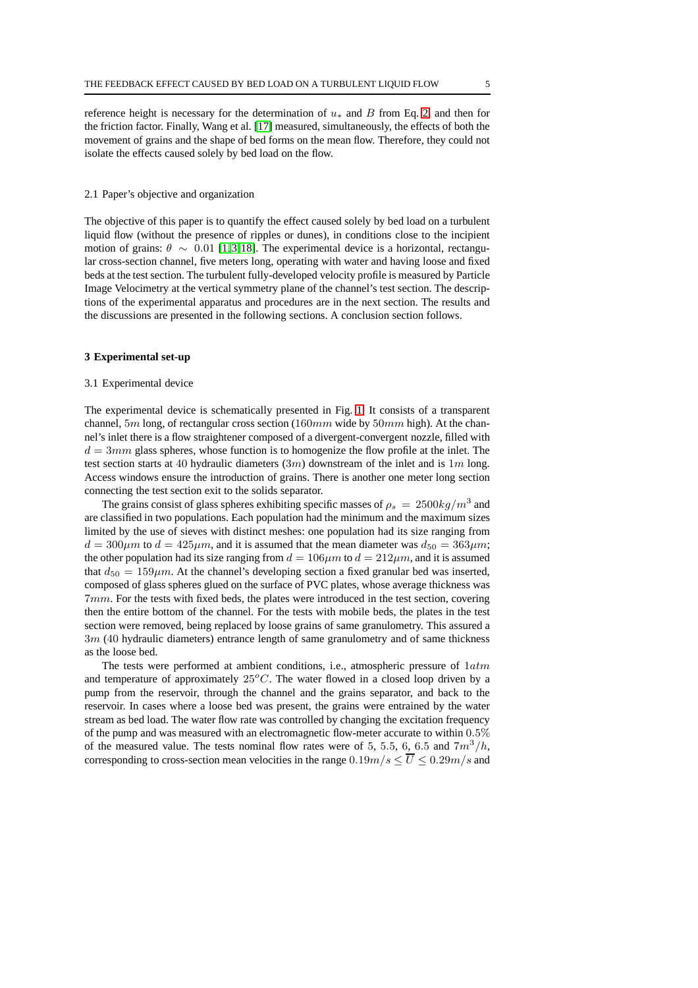reference height is necessary for the determination of  $u_*$  and B from Eq. [2,](#page-2-0) and then for the friction factor. Finally, Wang et al. [\[17\]](#page-17-16) measured, simultaneously, the effects of both the movement of grains and the shape of bed forms on the mean flow. Therefore, they could not isolate the effects caused solely by bed load on the flow.

#### 2.1 Paper's objective and organization

The objective of this paper is to quantify the effect caused solely by bed load on a turbulent liquid flow (without the presence of ripples or dunes), in conditions close to the incipient motion of grains:  $\theta \sim 0.01$  [\[1,](#page-17-0)[3,](#page-17-2)[18\]](#page-17-17). The experimental device is a horizontal, rectangular cross-section channel, five meters long, operating with water and having loose and fixed beds at the test section. The turbulent fully-developed velocity profile is measured by Particle Image Velocimetry at the vertical symmetry plane of the channel's test section. The descriptions of the experimental apparatus and procedures are in the next section. The results and the discussions are presented in the following sections. A conclusion section follows.

#### **3 Experimental set-up**

#### 3.1 Experimental device

The experimental device is schematically presented in Fig. [1.](#page-5-0) It consists of a transparent channel, 5m long, of rectangular cross section (160mm wide by 50mm high). At the channel's inlet there is a flow straightener composed of a divergent-convergent nozzle, filled with  $d = 3mm$  glass spheres, whose function is to homogenize the flow profile at the inlet. The test section starts at 40 hydraulic diameters  $(3m)$  downstream of the inlet and is  $1m$  long. Access windows ensure the introduction of grains. There is another one meter long section connecting the test section exit to the solids separator.

The grains consist of glass spheres exhibiting specific masses of  $\rho_s = 2500 kg/m^3$  and are classified in two populations. Each population had the minimum and the maximum sizes limited by the use of sieves with distinct meshes: one population had its size ranging from  $d = 300 \mu m$  to  $d = 425 \mu m$ , and it is assumed that the mean diameter was  $d_{50} = 363 \mu m$ ; the other population had its size ranging from  $d = 106 \mu m$  to  $d = 212 \mu m$ , and it is assumed that  $d_{50} = 159 \mu m$ . At the channel's developing section a fixed granular bed was inserted, composed of glass spheres glued on the surface of PVC plates, whose average thickness was 7mm. For the tests with fixed beds, the plates were introduced in the test section, covering then the entire bottom of the channel. For the tests with mobile beds, the plates in the test section were removed, being replaced by loose grains of same granulometry. This assured a  $3m$  (40 hydraulic diameters) entrance length of same granulometry and of same thickness as the loose bed.

The tests were performed at ambient conditions, i.e., atmospheric pressure of  $1atm$ and temperature of approximately  $25^{\circ}$ C. The water flowed in a closed loop driven by a pump from the reservoir, through the channel and the grains separator, and back to the reservoir. In cases where a loose bed was present, the grains were entrained by the water stream as bed load. The water flow rate was controlled by changing the excitation frequency of the pump and was measured with an electromagnetic flow-meter accurate to within 0.5% of the measured value. The tests nominal flow rates were of 5, 5.5, 6, 6.5 and  $7m^3/h$ , corresponding to cross-section mean velocities in the range  $0.19m/s \le \overline{U} \le 0.29m/s$  and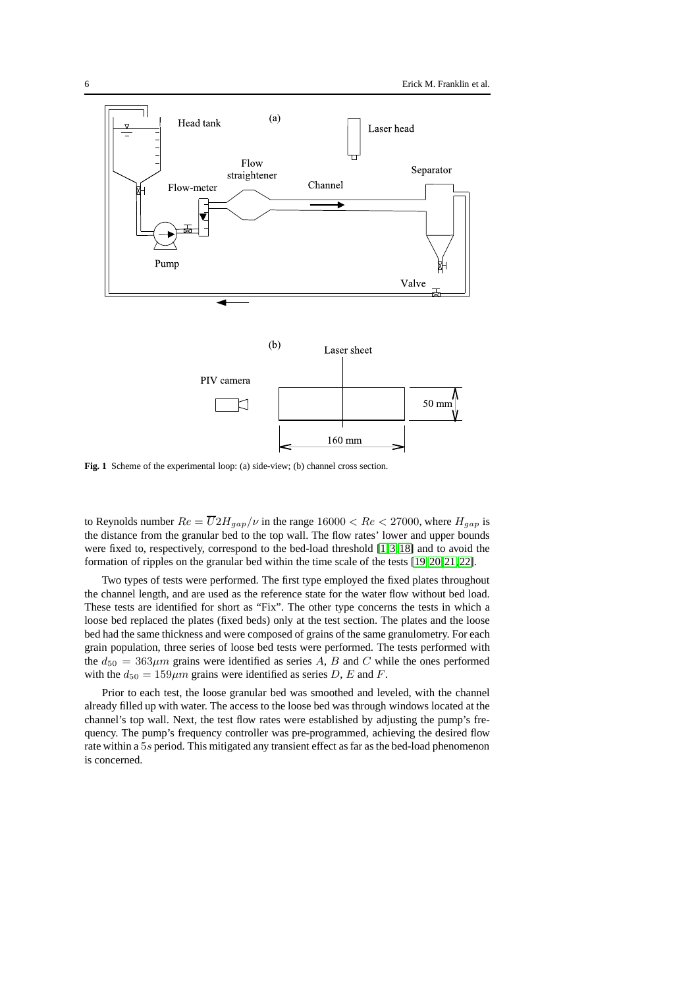

<span id="page-5-0"></span>**Fig. 1** Scheme of the experimental loop: (a) side-view; (b) channel cross section.

to Reynolds number  $Re = \overline{U} 2H_{gap}/\nu$  in the range  $16000 < Re < 27000$ , where  $H_{gap}$  is the distance from the granular bed to the top wall. The flow rates' lower and upper bounds were fixed to, respectively, correspond to the bed-load threshold [\[1,](#page-17-0)[3,](#page-17-2)[18\]](#page-17-17) and to avoid the formation of ripples on the granular bed within the time scale of the tests [\[19,](#page-17-18)[20,](#page-17-19)[21,](#page-17-20)[22\]](#page-17-21).

Two types of tests were performed. The first type employed the fixed plates throughout the channel length, and are used as the reference state for the water flow without bed load. These tests are identified for short as "Fix". The other type concerns the tests in which a loose bed replaced the plates (fixed beds) only at the test section. The plates and the loose bed had the same thickness and were composed of grains of the same granulometry. For each grain population, three series of loose bed tests were performed. The tests performed with the  $d_{50} = 363 \mu m$  grains were identified as series A, B and C while the ones performed with the  $d_{50} = 159 \mu m$  grains were identified as series D, E and F.

Prior to each test, the loose granular bed was smoothed and leveled, with the channel already filled up with water. The access to the loose bed was through windows located at the channel's top wall. Next, the test flow rates were established by adjusting the pump's frequency. The pump's frequency controller was pre-programmed, achieving the desired flow rate within a 5s period. This mitigated any transient effect as far as the bed-load phenomenon is concerned.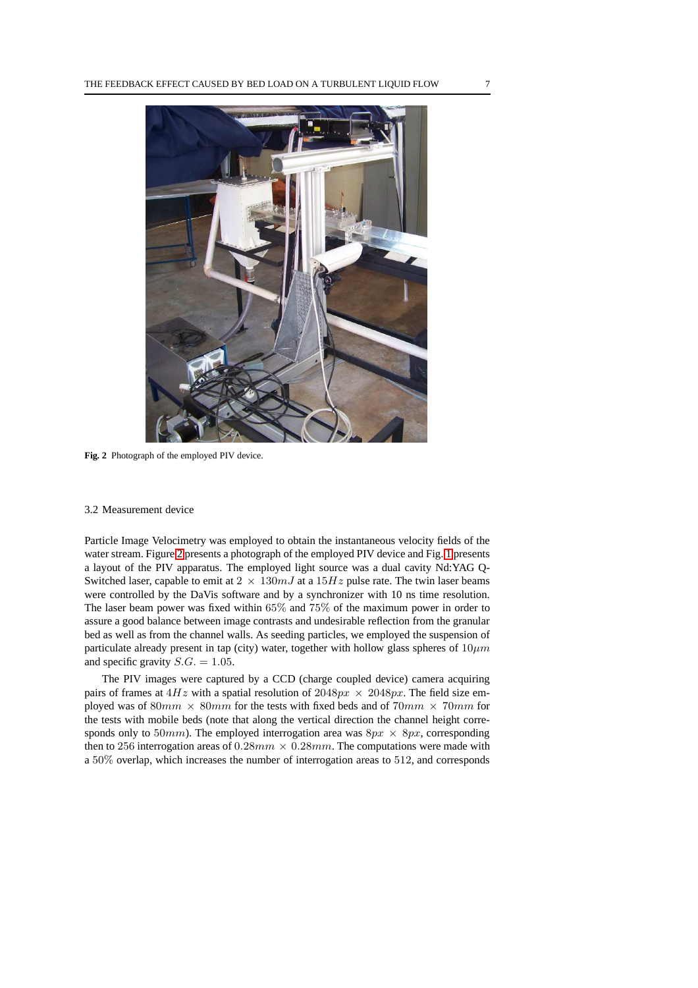

**Fig. 2** Photograph of the employed PIV device.

### <span id="page-6-0"></span>3.2 Measurement device

Particle Image Velocimetry was employed to obtain the instantaneous velocity fields of the water stream. Figure [2](#page-6-0) presents a photograph of the employed PIV device and Fig. [1](#page-5-0) presents a layout of the PIV apparatus. The employed light source was a dual cavity Nd:YAG Q-Switched laser, capable to emit at  $2 \times 130mJ$  at a  $15Hz$  pulse rate. The twin laser beams were controlled by the DaVis software and by a synchronizer with 10 ns time resolution. The laser beam power was fixed within 65% and 75% of the maximum power in order to assure a good balance between image contrasts and undesirable reflection from the granular bed as well as from the channel walls. As seeding particles, we employed the suspension of particulate already present in tap (city) water, together with hollow glass spheres of  $10 \mu m$ and specific gravity  $S.G. = 1.05$ .

The PIV images were captured by a CCD (charge coupled device) camera acquiring pairs of frames at  $4Hz$  with a spatial resolution of  $2048px \times 2048px$ . The field size employed was of  $80mm \times 80mm$  for the tests with fixed beds and of  $70mm \times 70mm$  for the tests with mobile beds (note that along the vertical direction the channel height corresponds only to 50mm). The employed interrogation area was  $8px \times 8px$ , corresponding then to 256 interrogation areas of  $0.28mm \times 0.28mm$ . The computations were made with a 50% overlap, which increases the number of interrogation areas to 512, and corresponds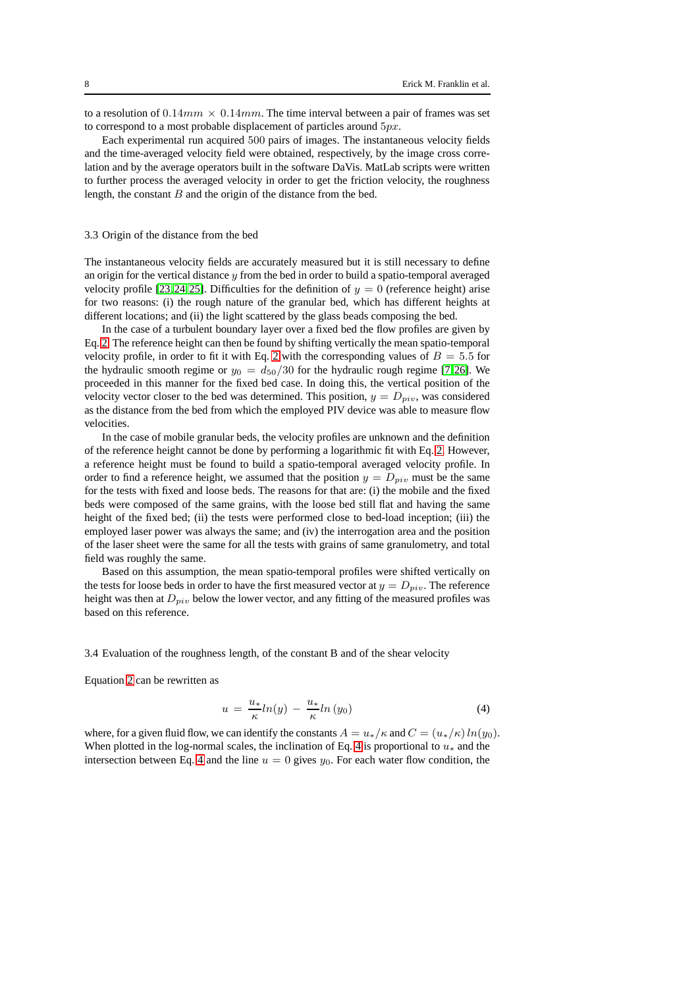to a resolution of  $0.14mm \times 0.14mm$ . The time interval between a pair of frames was set to correspond to a most probable displacement of particles around  $5px$ .

Each experimental run acquired 500 pairs of images. The instantaneous velocity fields and the time-averaged velocity field were obtained, respectively, by the image cross correlation and by the average operators built in the software DaVis. MatLab scripts were written to further process the averaged velocity in order to get the friction velocity, the roughness length, the constant  $B$  and the origin of the distance from the bed.

#### 3.3 Origin of the distance from the bed

The instantaneous velocity fields are accurately measured but it is still necessary to define an origin for the vertical distance  $y$  from the bed in order to build a spatio-temporal averaged velocity profile [\[23,](#page-17-22) [24,](#page-17-23) [25\]](#page-17-24). Difficulties for the definition of  $y = 0$  (reference height) arise for two reasons: (i) the rough nature of the granular bed, which has different heights at different locations; and (ii) the light scattered by the glass beads composing the bed.

In the case of a turbulent boundary layer over a fixed bed the flow profiles are given by Eq. [2.](#page-2-0) The reference height can then be found by shifting vertically the mean spatio-temporal velocity profile, in order to fit it with Eq. [2](#page-2-0) with the corresponding values of  $B = 5.5$  for the hydraulic smooth regime or  $y_0 = d_{50}/30$  for the hydraulic rough regime [\[7,](#page-17-6)[26\]](#page-17-25). We proceeded in this manner for the fixed bed case. In doing this, the vertical position of the velocity vector closer to the bed was determined. This position,  $y = D_{\text{piv}}$ , was considered as the distance from the bed from which the employed PIV device was able to measure flow velocities.

In the case of mobile granular beds, the velocity profiles are unknown and the definition of the reference height cannot be done by performing a logarithmic fit with Eq. [2.](#page-2-0) However, a reference height must be found to build a spatio-temporal averaged velocity profile. In order to find a reference height, we assumed that the position  $y = D_{\text{piv}}$  must be the same for the tests with fixed and loose beds. The reasons for that are: (i) the mobile and the fixed beds were composed of the same grains, with the loose bed still flat and having the same height of the fixed bed; (ii) the tests were performed close to bed-load inception; (iii) the employed laser power was always the same; and (iv) the interrogation area and the position of the laser sheet were the same for all the tests with grains of same granulometry, and total field was roughly the same.

Based on this assumption, the mean spatio-temporal profiles were shifted vertically on the tests for loose beds in order to have the first measured vector at  $y = D_{\text{min}}$ . The reference height was then at  $D_{piv}$  below the lower vector, and any fitting of the measured profiles was based on this reference.

### 3.4 Evaluation of the roughness length, of the constant B and of the shear velocity

<span id="page-7-0"></span>Equation [2](#page-2-0) can be rewritten as

$$
u = \frac{u_*}{\kappa} ln(y) - \frac{u_*}{\kappa} ln(y_0)
$$
 (4)

where, for a given fluid flow, we can identify the constants  $A = u_*/\kappa$  and  $C = (u_*/\kappa) \ln(y_0)$ . When plotted in the log-normal scales, the inclination of Eq. [4](#page-7-0) is proportional to  $u_*$  and the intersection between Eq. [4](#page-7-0) and the line  $u = 0$  gives  $y_0$ . For each water flow condition, the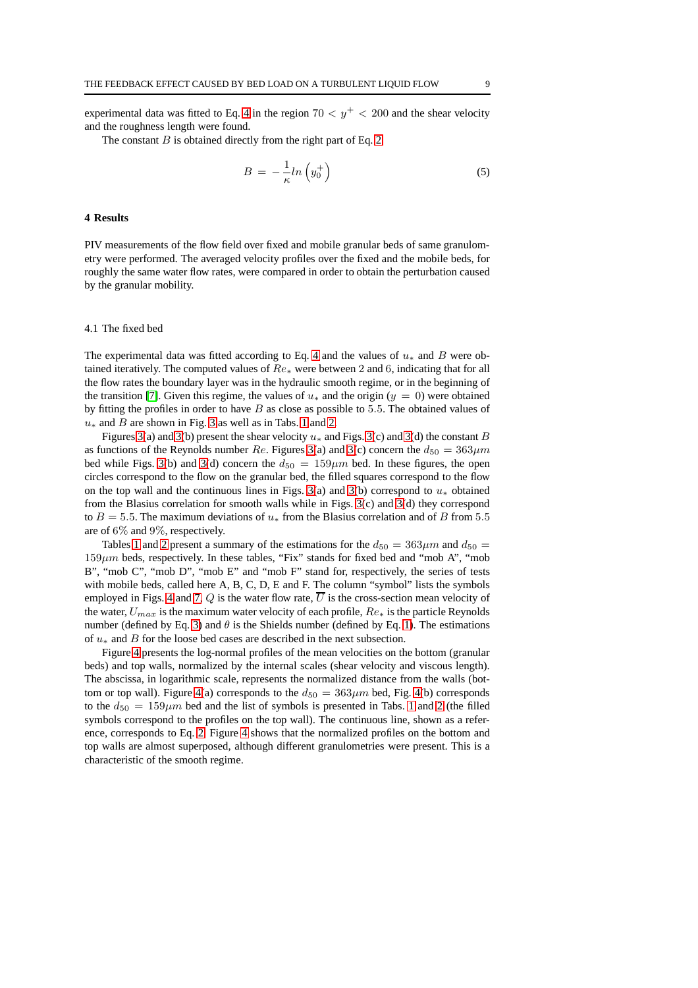experimental data was fitted to Eq. [4](#page-7-0) in the region  $70 < y^{+} < 200$  and the shear velocity and the roughness length were found.

The constant  $B$  is obtained directly from the right part of Eq. [2](#page-2-0)

$$
B = -\frac{1}{\kappa} \ln \left( y_0^+ \right) \tag{5}
$$

#### **4 Results**

PIV measurements of the flow field over fixed and mobile granular beds of same granulometry were performed. The averaged velocity profiles over the fixed and the mobile beds, for roughly the same water flow rates, were compared in order to obtain the perturbation caused by the granular mobility.

## 4.1 The fixed bed

The experimental data was fitted according to Eq. [4](#page-7-0) and the values of  $u_*$  and B were obtained iteratively. The computed values of  $Re_\ast$  were between 2 and 6, indicating that for all the flow rates the boundary layer was in the hydraulic smooth regime, or in the beginning of the transition [\[7\]](#page-17-6). Given this regime, the values of  $u_*$  and the origin ( $y = 0$ ) were obtained by fitting the profiles in order to have  $B$  as close as possible to 5.5. The obtained values of  $u_*$  and B are shown in Fig. [3](#page-9-0) as well as in Tabs. [1](#page-12-0) and [2.](#page-13-0)

Figures [3\(](#page-9-0)a) and 3(b) present the shear velocity  $u_*$  and Figs. 3(c) and 3(d) the constant B as functions of the Reynolds number Re. Figures [3\(](#page-9-0)a) and 3(c) concern the  $d_{50} = 363 \mu m$ bed while Figs. [3\(](#page-9-0)b) and 3(d) concern the  $d_{50} = 159 \mu m$  bed. In these figures, the open circles correspond to the flow on the granular bed, the filled squares correspond to the flow on the top wall and the continuous lines in Figs. [3\(](#page-9-0)a) and 3(b) correspond to  $u_*$  obtained from the Blasius correlation for smooth walls while in Figs. [3\(](#page-9-0)c) and [3\(](#page-9-0)d) they correspond to  $B = 5.5$ . The maximum deviations of  $u_*$  from the Blasius correlation and of B from 5.5 are of 6% and 9%, respectively.

Tables [1](#page-12-0) and [2](#page-13-0) present a summary of the estimations for the  $d_{50} = 363 \mu m$  and  $d_{50} =$  $159\mu m$  beds, respectively. In these tables, "Fix" stands for fixed bed and "mob A", "mob B", "mob C", "mob D", "mob E" and "mob F" stand for, respectively, the series of tests with mobile beds, called here A, B, C, D, E and F. The column "symbol" lists the symbols employed in Figs. [4](#page-9-1) and [7,](#page-12-1) Q is the water flow rate,  $\overline{U}$  is the cross-section mean velocity of the water,  $U_{max}$  is the maximum water velocity of each profile,  $Re_*$  is the particle Reynolds number (defined by Eq. [3\)](#page-2-1) and  $\theta$  is the Shields number (defined by Eq. [1\)](#page-2-2). The estimations of u<sup>∗</sup> and B for the loose bed cases are described in the next subsection.

Figure [4](#page-9-1) presents the log-normal profiles of the mean velocities on the bottom (granular beds) and top walls, normalized by the internal scales (shear velocity and viscous length). The abscissa, in logarithmic scale, represents the normalized distance from the walls (bot-tom or top wall). Figure [4\(](#page-9-1)a) corresponds to the  $d_{50} = 363 \mu m$  bed, Fig. 4(b) corresponds to the  $d_{50} = 159 \mu m$  $d_{50} = 159 \mu m$  $d_{50} = 159 \mu m$  bed and the list of symbols is presented in Tabs. 1 and [2](#page-13-0) (the filled symbols correspond to the profiles on the top wall). The continuous line, shown as a reference, corresponds to Eq. [2.](#page-2-0) Figure [4](#page-9-1) shows that the normalized profiles on the bottom and top walls are almost superposed, although different granulometries were present. This is a characteristic of the smooth regime.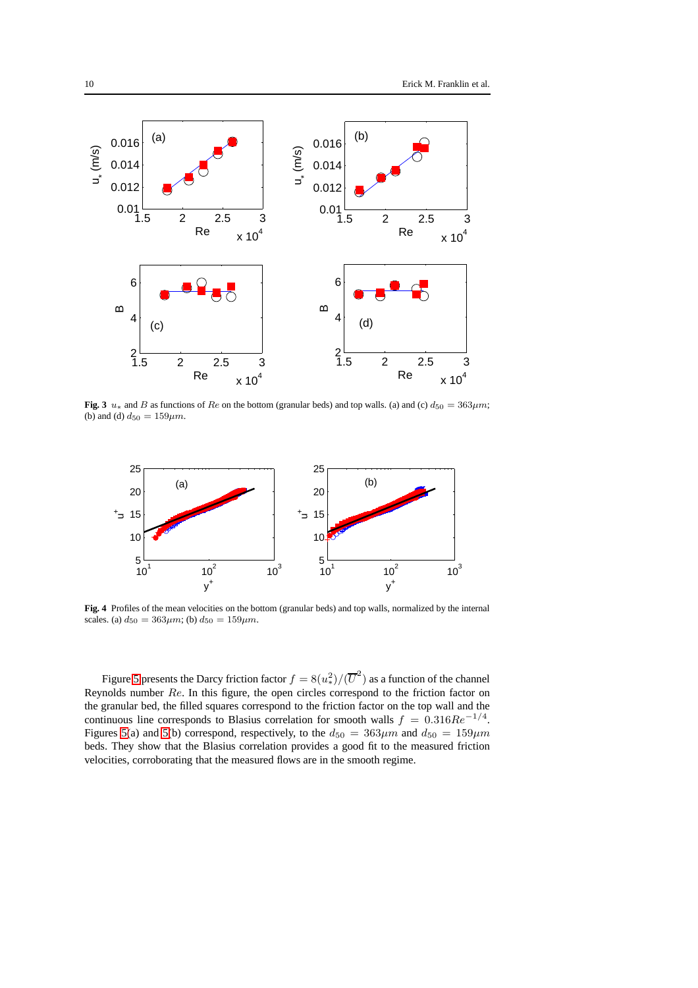

<span id="page-9-0"></span>**Fig. 3**  $u_*$  and B as functions of Re on the bottom (granular beds) and top walls. (a) and (c)  $d_{50} = 363 \mu m$ ; (b) and (d)  $d_{50} = 159 \mu m$ .



<span id="page-9-1"></span>**Fig. 4** Profiles of the mean velocities on the bottom (granular beds) and top walls, normalized by the internal scales. (a)  $d_{50} = 363 \mu m$ ; (b)  $d_{50} = 159 \mu m$ .

Figure [5](#page-10-0) presents the Darcy friction factor  $f = 8(u_2^2)/(\overline{U}^2)$  as a function of the channel Reynolds number Re. In this figure, the open circles correspond to the friction factor on the granular bed, the filled squares correspond to the friction factor on the top wall and the continuous line corresponds to Blasius correlation for smooth walls  $f = 0.316Re^{-1/4}$ . Figures [5\(](#page-10-0)a) and 5(b) correspond, respectively, to the  $d_{50} = 363 \mu m$  and  $d_{50} = 159 \mu m$ beds. They show that the Blasius correlation provides a good fit to the measured friction velocities, corroborating that the measured flows are in the smooth regime.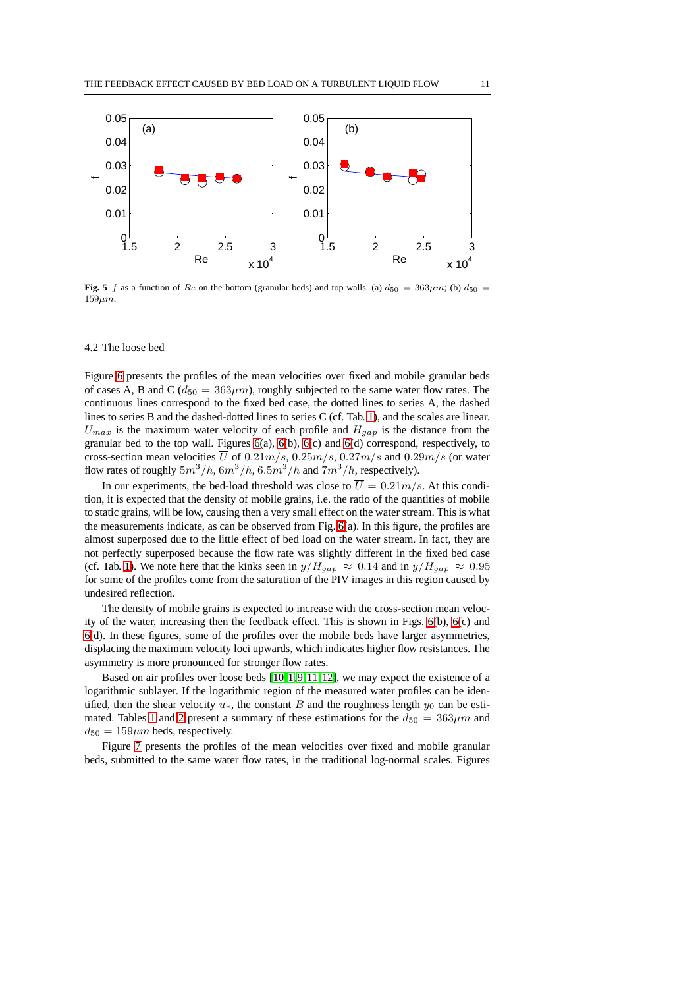

<span id="page-10-0"></span>**Fig. 5** f as a function of Re on the bottom (granular beds) and top walls. (a)  $d_{50} = 363 \mu m$ ; (b)  $d_{50} =$  $159 \mu m$ .

#### 4.2 The loose bed

Figure [6](#page-11-0) presents the profiles of the mean velocities over fixed and mobile granular beds of cases A, B and C ( $d_{50} = 363 \mu m$ ), roughly subjected to the same water flow rates. The continuous lines correspond to the fixed bed case, the dotted lines to series A, the dashed lines to series B and the dashed-dotted lines to series C (cf. Tab. [1\)](#page-12-0), and the scales are linear.  $U_{max}$  is the maximum water velocity of each profile and  $H_{gap}$  is the distance from the granular bed to the top wall. Figures  $6(a)$ ,  $6(b)$ ,  $6(c)$  and  $6(d)$  correspond, respectively, to cross-section mean velocities  $\overline{U}$  of 0.21m/s, 0.25m/s, 0.27m/s and 0.29m/s (or water flow rates of roughly  $5m^3/h$ ,  $6m^3/h$ ,  $6.5m^3/h$  and  $7m^3/h$ , respectively).

In our experiments, the bed-load threshold was close to  $\overline{U} = 0.21m/s$ . At this condition, it is expected that the density of mobile grains, i.e. the ratio of the quantities of mobile to static grains, will be low, causing then a very small effect on the water stream. This is what the measurements indicate, as can be observed from Fig. [6\(](#page-11-0)a). In this figure, the profiles are almost superposed due to the little effect of bed load on the water stream. In fact, they are not perfectly superposed because the flow rate was slightly different in the fixed bed case (cf. Tab. [1\)](#page-12-0). We note here that the kinks seen in  $y/H_{gap} \approx 0.14$  and in  $y/H_{gap} \approx 0.95$ for some of the profiles come from the saturation of the PIV images in this region caused by undesired reflection.

The density of mobile grains is expected to increase with the cross-section mean velocity of the water, increasing then the feedback effect. This is shown in Figs. [6\(](#page-11-0)b), [6\(](#page-11-0)c) and [6\(](#page-11-0)d). In these figures, some of the profiles over the mobile beds have larger asymmetries, displacing the maximum velocity loci upwards, which indicates higher flow resistances. The asymmetry is more pronounced for stronger flow rates.

Based on air profiles over loose beds [\[10,](#page-17-9)[1,](#page-17-0)[9,](#page-17-8)[11,](#page-17-10)[12\]](#page-17-11), we may expect the existence of a logarithmic sublayer. If the logarithmic region of the measured water profiles can be identified, then the shear velocity  $u_*$ , the constant B and the roughness length  $y_0$  can be esti-mated. Tables [1](#page-12-0) and [2](#page-13-0) present a summary of these estimations for the  $d_{50} = 363 \mu m$  and  $d_{50} = 159 \mu m$  beds, respectively.

Figure [7](#page-12-1) presents the profiles of the mean velocities over fixed and mobile granular beds, submitted to the same water flow rates, in the traditional log-normal scales. Figures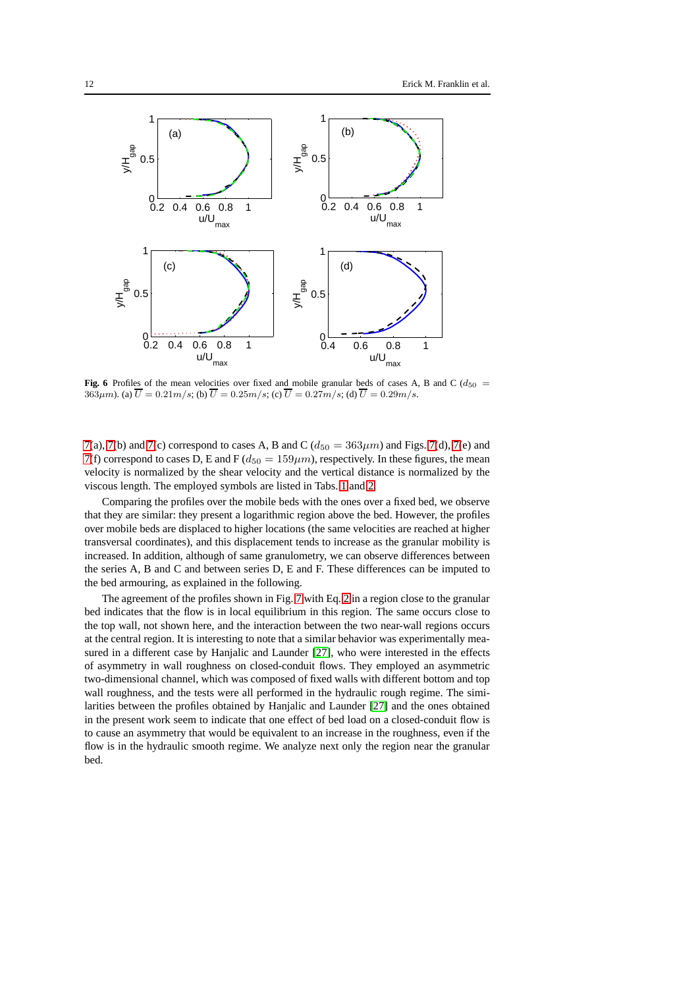

<span id="page-11-0"></span>**Fig. 6** Profiles of the mean velocities over fixed and mobile granular beds of cases A, B and C ( $d_{50}$  = 363 $\mu$ m). (a)  $\overline{U} = 0.21 \text{m/s}$ ; (b)  $\overline{U} = 0.25 \text{m/s}$ ; (c)  $\overline{U} = 0.27 \text{m/s}$ ; (d)  $\overline{U} = 0.29 \text{m/s}$ .

[7\(](#page-12-1)a), [7\(](#page-12-1)b) and 7(c) correspond to cases A, B and C ( $d_{50} = 363 \mu m$ ) and Figs. 7(d), 7(e) and [7\(](#page-12-1)f) correspond to cases D, E and F ( $d_{50} = 159 \mu m$ ), respectively. In these figures, the mean velocity is normalized by the shear velocity and the vertical distance is normalized by the viscous length. The employed symbols are listed in Tabs. [1](#page-12-0) and [2.](#page-13-0)

Comparing the profiles over the mobile beds with the ones over a fixed bed, we observe that they are similar: they present a logarithmic region above the bed. However, the profiles over mobile beds are displaced to higher locations (the same velocities are reached at higher transversal coordinates), and this displacement tends to increase as the granular mobility is increased. In addition, although of same granulometry, we can observe differences between the series A, B and C and between series D, E and F. These differences can be imputed to the bed armouring, as explained in the following.

The agreement of the profiles shown in Fig. [7](#page-12-1) with Eq. [2](#page-2-0) in a region close to the granular bed indicates that the flow is in local equilibrium in this region. The same occurs close to the top wall, not shown here, and the interaction between the two near-wall regions occurs at the central region. It is interesting to note that a similar behavior was experimentally measured in a different case by Hanjalic and Launder [\[27\]](#page-17-26), who were interested in the effects of asymmetry in wall roughness on closed-conduit flows. They employed an asymmetric two-dimensional channel, which was composed of fixed walls with different bottom and top wall roughness, and the tests were all performed in the hydraulic rough regime. The similarities between the profiles obtained by Hanjalic and Launder [\[27\]](#page-17-26) and the ones obtained in the present work seem to indicate that one effect of bed load on a closed-conduit flow is to cause an asymmetry that would be equivalent to an increase in the roughness, even if the flow is in the hydraulic smooth regime. We analyze next only the region near the granular bed.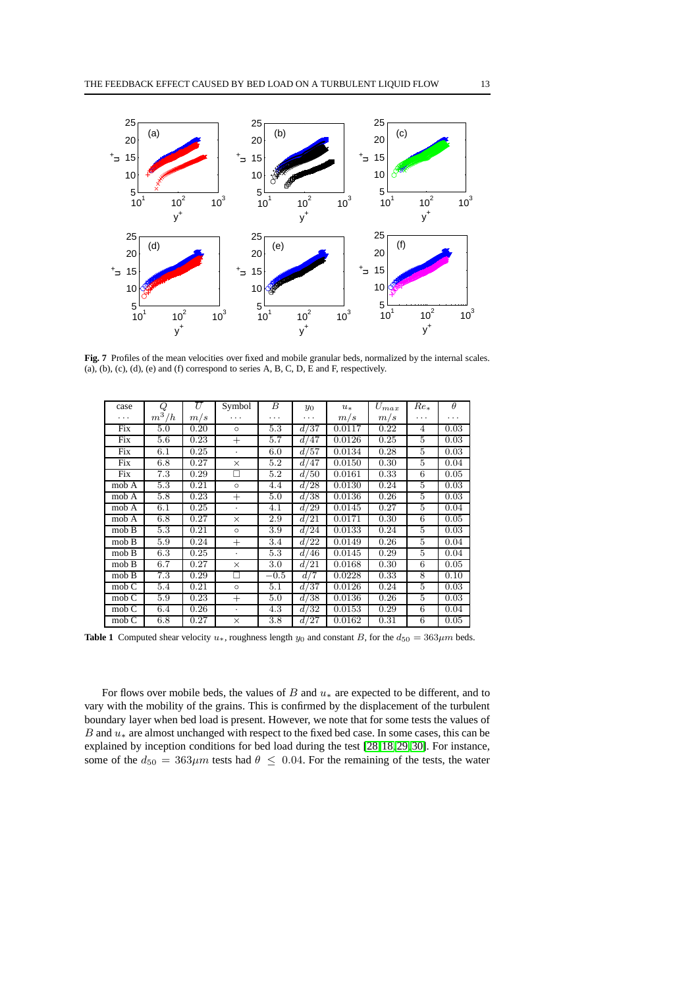

<span id="page-12-1"></span>Fig. 7 Profiles of the mean velocities over fixed and mobile granular beds, normalized by the internal scales. (a), (b), (c), (d), (e) and (f) correspond to series A, B, C, D, E and F, respectively.

| case                                          | Q       | U    | Symbol               | B       | $y_0$ | $u_*$  | $\mathcal{U}_{max}$ | $Re_*$         | $\theta$ |
|-----------------------------------------------|---------|------|----------------------|---------|-------|--------|---------------------|----------------|----------|
| .                                             | $m^3/h$ | m/s  | .                    | .       | .     | m/s    | m/s                 | .              | .        |
| Fix                                           | 5.0     | 0.20 | $\circ$              | 5.3     | d/37  | 0.0117 | 0.22                | $\overline{4}$ | 0.03     |
| Fix                                           | 5.6     | 0.23 | $^{+}$               | 5.7     | d/47  | 0.0126 | 0.25                | 5              | 0.03     |
| Fix                                           | 6.1     | 0.25 | $\ddot{\phantom{0}}$ | 6.0     | d/57  | 0.0134 | 0.28                | 5              | 0.03     |
| Fix                                           | 6.8     | 0.27 | $\times$             | 5.2     | d/47  | 0.0150 | 0.30                | 5              | 0.04     |
| Fix                                           | 7.3     | 0.29 | П                    | 5.2     | d/50  | 0.0161 | 0.33                | 6              | 0.05     |
| mob A                                         | 5.3     | 0.21 | $\circ$              | 4.4     | d/28  | 0.0130 | 0.24                | 5              | 0.03     |
| mob A                                         | 5.8     | 0.23 | $^{+}$               | 5.0     | d/38  | 0.0136 | 0.26                | 5              | 0.03     |
| mob A                                         | 6.1     | 0.25 | $\ddot{\phantom{0}}$ | 4.1     | d/29  | 0.0145 | 0.27                | 5              | 0.04     |
| mob A                                         | 6.8     | 0.27 | $\times$             | 2.9     | d/21  | 0.0171 | 0.30                | 6              | 0.05     |
| mob B                                         | 5.3     | 0.21 | $\circ$              | 3.9     | d/24  | 0.0133 | 0.24                | 5              | 0.03     |
| mob B                                         | 5.9     | 0.24 | $^{+}$               | 3.4     | d/22  | 0.0149 | 0.26                | 5              | 0.04     |
| mob B                                         | 6.3     | 0.25 | ٠                    | 5.3     | d/46  | 0.0145 | 0.29                | 5              | 0.04     |
| mob B                                         | 6.7     | 0.27 | $\times$             | $3.0\,$ | d/21  | 0.0168 | 0.30                | 6              | 0.05     |
| mob B                                         | 7.3     | 0.29 | П                    | $-0.5$  | d/7   | 0.0228 | 0.33                | 8              | 0.10     |
| mob C                                         | 5.4     | 0.21 | $\circ$              | 5.1     | d/37  | 0.0126 | 0.24                | 5              | 0.03     |
| mob C                                         | 5.9     | 0.23 | $^{+}$               | 5.0     | d/38  | 0.0136 | 0.26                | 5              | 0.03     |
| $\overline{\text{mob}}$ $\overline{\text{C}}$ | 6.4     | 0.26 | $\bullet$            | 4.3     | d/32  | 0.0153 | 0.29                | 6              | 0.04     |
| mob C                                         | 6.8     | 0.27 | $\times$             | 3.8     | d/27  | 0.0162 | 0.31                | 6              | 0.05     |

<span id="page-12-0"></span>**Table 1** Computed shear velocity  $u_*$ , roughness length  $y_0$  and constant B, for the  $d_{50} = 363 \mu m$  beds.

For flows over mobile beds, the values of B and  $u_*$  are expected to be different, and to vary with the mobility of the grains. This is confirmed by the displacement of the turbulent boundary layer when bed load is present. However, we note that for some tests the values of B and u<sup>∗</sup> are almost unchanged with respect to the fixed bed case. In some cases, this can be explained by inception conditions for bed load during the test [\[28,](#page-17-27)[18,](#page-17-17)[29,](#page-17-28)[30\]](#page-17-29). For instance, some of the  $d_{50} = 363 \mu m$  tests had  $\theta \le 0.04$ . For the remaining of the tests, the water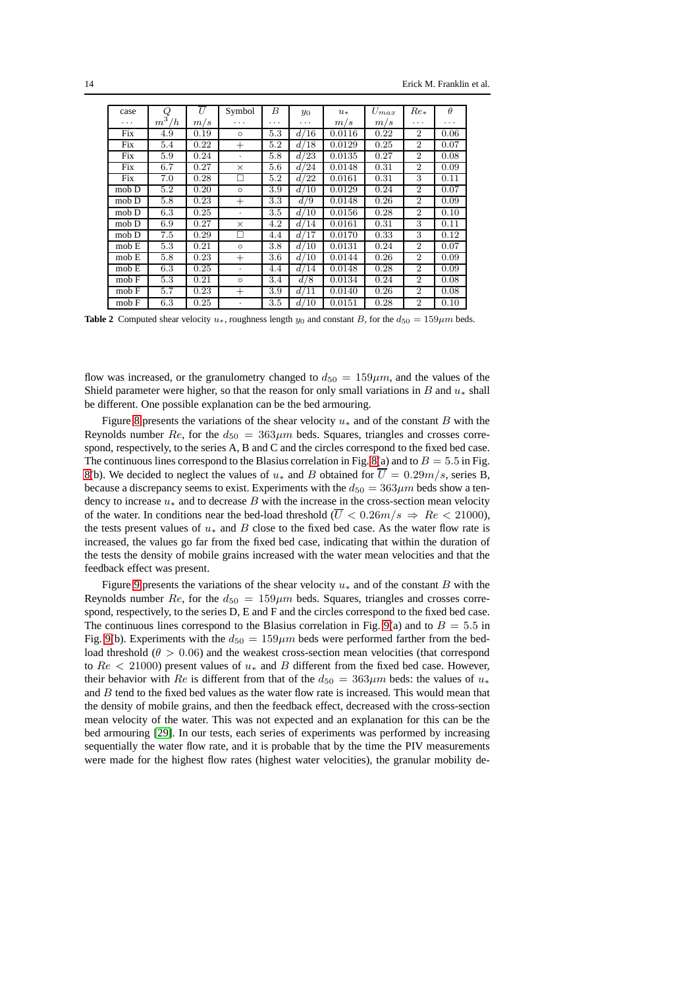| case     | Q       | U    | Symbol   | В   | $y_0$ | $u_*$  | $U_{max}$ | $Re_*$         | $\theta$ |
|----------|---------|------|----------|-----|-------|--------|-----------|----------------|----------|
| $\cdots$ | $m^3/h$ | m/s  | .        | .   | .     | m/s    | m/s       | .              | .        |
| Fix      | 4.9     | 0.19 | $\circ$  | 5.3 | d/16  | 0.0116 | 0.22      | $\overline{2}$ | 0.06     |
| Fix      | 5.4     | 0.22 | $^{+}$   | 5.2 | d/18  | 0.0129 | 0.25      | $\overline{2}$ | 0.07     |
| Fix      | 5.9     | 0.24 | $\cdot$  | 5.8 | d/23  | 0.0135 | 0.27      | $\overline{2}$ | 0.08     |
| Fix      | 6.7     | 0.27 | $\times$ | 5.6 | d/24  | 0.0148 | 0.31      | $\overline{2}$ | 0.09     |
| Fix      | 7.0     | 0.28 | П        | 5.2 | d/22  | 0.0161 | 0.31      | 3              | 0.11     |
| $mob$ D  | 5.2     | 0.20 | $\circ$  | 3.9 | d/10  | 0.0129 | 0.24      | $\overline{2}$ | 0.07     |
| mob D    | 5.8     | 0.23 | $^{+}$   | 3.3 | d/9   | 0.0148 | 0.26      | $\overline{2}$ | 0.09     |
| mob D    | 6.3     | 0.25 |          | 3.5 | d/10  | 0.0156 | 0.28      | $\overline{2}$ | 0.10     |
| mob D    | 6.9     | 0.27 | $\times$ | 4.2 | d/14  | 0.0161 | 0.31      | 3              | 0.11     |
| mob D    | 7.5     | 0.29 | П        | 4.4 | d/17  | 0.0170 | 0.33      | 3              | 0.12     |
| mob E    | 5.3     | 0.21 | $\circ$  | 3.8 | d/10  | 0.0131 | 0.24      | $\overline{2}$ | 0.07     |
| mob E    | 5.8     | 0.23 | $^{+}$   | 3.6 | d/10  | 0.0144 | 0.26      | $\overline{2}$ | 0.09     |
| mob E    | 6.3     | 0.25 | $\cdot$  | 4.4 | d/14  | 0.0148 | 0.28      | $\overline{2}$ | 0.09     |
| mob F    | 5.3     | 0.21 | $\circ$  | 3.4 | d/8   | 0.0134 | 0.24      | $\overline{2}$ | 0.08     |
| mob F    | 5.7     | 0.23 | $^{+}$   | 3.9 | d/11  | 0.0140 | 0.26      | $\overline{2}$ | 0.08     |
| mob F    | 6.3     | 0.25 |          | 3.5 | d/10  | 0.0151 | 0.28      | $\overline{2}$ | 0.10     |

<span id="page-13-0"></span>**Table 2** Computed shear velocity  $u_*$ , roughness length  $y_0$  and constant B, for the  $d_{50} = 159 \mu m$  beds.

flow was increased, or the granulometry changed to  $d_{50} = 159 \mu m$ , and the values of the Shield parameter were higher, so that the reason for only small variations in B and  $u_*$  shall be different. One possible explanation can be the bed armouring.

Figure [8](#page-14-0) presents the variations of the shear velocity  $u_*$  and of the constant B with the Reynolds number Re, for the  $d_{50} = 363 \mu m$  beds. Squares, triangles and crosses correspond, respectively, to the series A, B and C and the circles correspond to the fixed bed case. The continuous lines correspond to the Blasius correlation in Fig. [8\(](#page-14-0)a) and to  $B = 5.5$  in Fig. [8\(](#page-14-0)b). We decided to neglect the values of  $u_*$  and B obtained for  $\overline{U} = 0.29m/s$ , series B, because a discrepancy seems to exist. Experiments with the  $d_{50} = 363 \mu m$  beds show a tendency to increase  $u_*$  and to decrease B with the increase in the cross-section mean velocity of the water. In conditions near the bed-load threshold ( $\overline{U}$  < 0.26m/s  $\Rightarrow$  Re < 21000), the tests present values of  $u_*$  and  $B$  close to the fixed bed case. As the water flow rate is increased, the values go far from the fixed bed case, indicating that within the duration of the tests the density of mobile grains increased with the water mean velocities and that the feedback effect was present.

Figure [9](#page-14-1) presents the variations of the shear velocity  $u_*$  and of the constant B with the Reynolds number Re, for the  $d_{50} = 159 \mu m$  beds. Squares, triangles and crosses correspond, respectively, to the series D, E and F and the circles correspond to the fixed bed case. The continuous lines correspond to the Blasius correlation in Fig. [9\(](#page-14-1)a) and to  $B = 5.5$  in Fig. [9\(](#page-14-1)b). Experiments with the  $d_{50} = 159 \mu m$  beds were performed farther from the bedload threshold ( $\theta > 0.06$ ) and the weakest cross-section mean velocities (that correspond to  $Re < 21000$ ) present values of  $u_*$  and  $B$  different from the fixed bed case. However, their behavior with Re is different from that of the  $d_{50} = 363 \mu m$  beds: the values of  $u_*$ and  $B$  tend to the fixed bed values as the water flow rate is increased. This would mean that the density of mobile grains, and then the feedback effect, decreased with the cross-section mean velocity of the water. This was not expected and an explanation for this can be the bed armouring [\[29\]](#page-17-28). In our tests, each series of experiments was performed by increasing sequentially the water flow rate, and it is probable that by the time the PIV measurements were made for the highest flow rates (highest water velocities), the granular mobility de-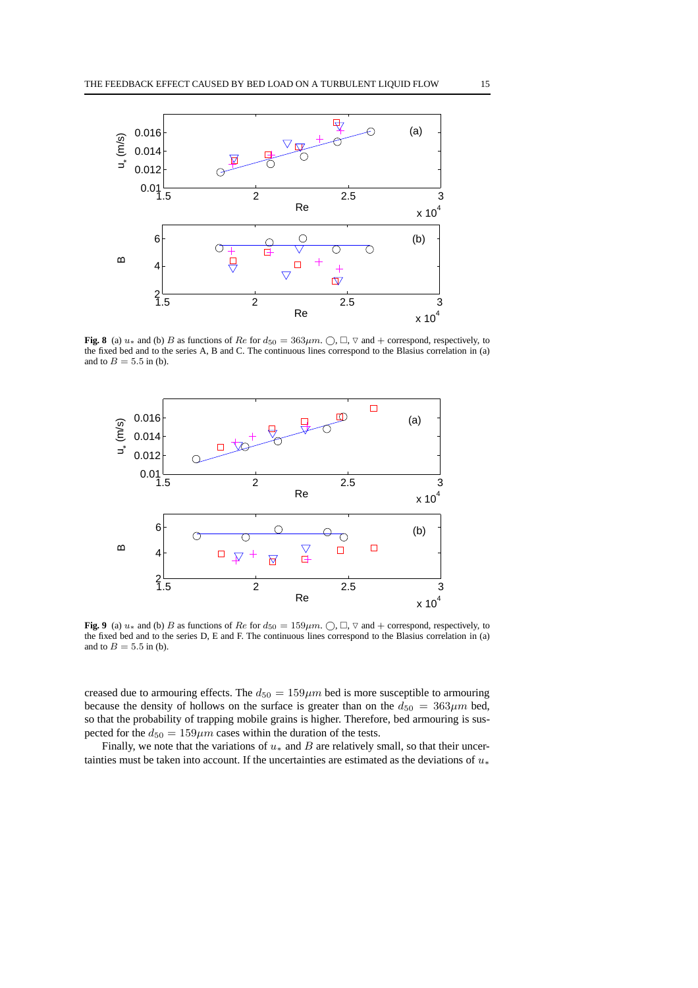

<span id="page-14-0"></span>**Fig. 8** (a)  $u_*$  and (b) B as functions of Re for  $d_{50} = 363 \mu m$ .  $\bigcirc$ ,  $\Box$ ,  $\nabla$  and  $+$  correspond, respectively, to the fixed bed and to the series A, B and C. The continuous lines correspond to the Blasius correlation in (a) and to  $B = 5.5$  in (b).



<span id="page-14-1"></span>**Fig. 9** (a)  $u_*$  and (b) B as functions of Re for  $d_{50} = 159 \mu m$ .  $\bigcap$ ,  $\Box$ ,  $\nabla$  and  $+$  correspond, respectively, to the fixed bed and to the series D, E and F. The continuous lines correspond to the Blasius correlation in (a) and to  $B = 5.5$  in (b).

creased due to armouring effects. The  $d_{50} = 159 \mu m$  bed is more susceptible to armouring because the density of hollows on the surface is greater than on the  $d_{50} = 363 \mu m$  bed, so that the probability of trapping mobile grains is higher. Therefore, bed armouring is suspected for the  $d_{50} = 159 \mu m$  cases within the duration of the tests.

Finally, we note that the variations of  $u_*$  and  $B$  are relatively small, so that their uncertainties must be taken into account. If the uncertainties are estimated as the deviations of  $u_*$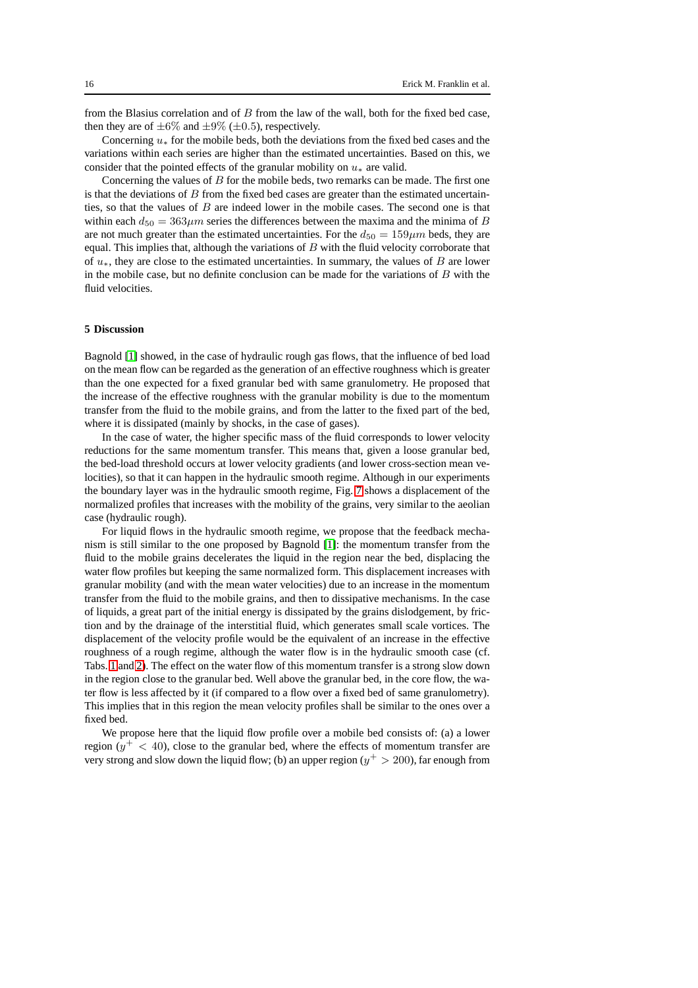from the Blasius correlation and of B from the law of the wall, both for the fixed bed case, then they are of  $\pm 6\%$  and  $\pm 9\%$  ( $\pm 0.5$ ), respectively.

Concerning  $u_*$  for the mobile beds, both the deviations from the fixed bed cases and the variations within each series are higher than the estimated uncertainties. Based on this, we consider that the pointed effects of the granular mobility on  $u_*$  are valid.

Concerning the values of  $B$  for the mobile beds, two remarks can be made. The first one is that the deviations of  $B$  from the fixed bed cases are greater than the estimated uncertainties, so that the values of  $B$  are indeed lower in the mobile cases. The second one is that within each  $d_{50} = 363 \mu m$  series the differences between the maxima and the minima of B are not much greater than the estimated uncertainties. For the  $d_{50} = 159 \mu m$  beds, they are equal. This implies that, although the variations of  $B$  with the fluid velocity corroborate that of u∗, they are close to the estimated uncertainties. In summary, the values of B are lower in the mobile case, but no definite conclusion can be made for the variations of  $B$  with the fluid velocities.

## **5 Discussion**

Bagnold [\[1\]](#page-17-0) showed, in the case of hydraulic rough gas flows, that the influence of bed load on the mean flow can be regarded as the generation of an effective roughness which is greater than the one expected for a fixed granular bed with same granulometry. He proposed that the increase of the effective roughness with the granular mobility is due to the momentum transfer from the fluid to the mobile grains, and from the latter to the fixed part of the bed, where it is dissipated (mainly by shocks, in the case of gases).

In the case of water, the higher specific mass of the fluid corresponds to lower velocity reductions for the same momentum transfer. This means that, given a loose granular bed, the bed-load threshold occurs at lower velocity gradients (and lower cross-section mean velocities), so that it can happen in the hydraulic smooth regime. Although in our experiments the boundary layer was in the hydraulic smooth regime, Fig. [7](#page-12-1) shows a displacement of the normalized profiles that increases with the mobility of the grains, very similar to the aeolian case (hydraulic rough).

For liquid flows in the hydraulic smooth regime, we propose that the feedback mechanism is still similar to the one proposed by Bagnold [\[1\]](#page-17-0): the momentum transfer from the fluid to the mobile grains decelerates the liquid in the region near the bed, displacing the water flow profiles but keeping the same normalized form. This displacement increases with granular mobility (and with the mean water velocities) due to an increase in the momentum transfer from the fluid to the mobile grains, and then to dissipative mechanisms. In the case of liquids, a great part of the initial energy is dissipated by the grains dislodgement, by friction and by the drainage of the interstitial fluid, which generates small scale vortices. The displacement of the velocity profile would be the equivalent of an increase in the effective roughness of a rough regime, although the water flow is in the hydraulic smooth case (cf. Tabs. [1](#page-12-0) and [2\)](#page-13-0). The effect on the water flow of this momentum transfer is a strong slow down in the region close to the granular bed. Well above the granular bed, in the core flow, the water flow is less affected by it (if compared to a flow over a fixed bed of same granulometry). This implies that in this region the mean velocity profiles shall be similar to the ones over a fixed bed.

We propose here that the liquid flow profile over a mobile bed consists of: (a) a lower region  $(y^{+} < 40)$ , close to the granular bed, where the effects of momentum transfer are very strong and slow down the liquid flow; (b) an upper region ( $y^+ > 200$ ), far enough from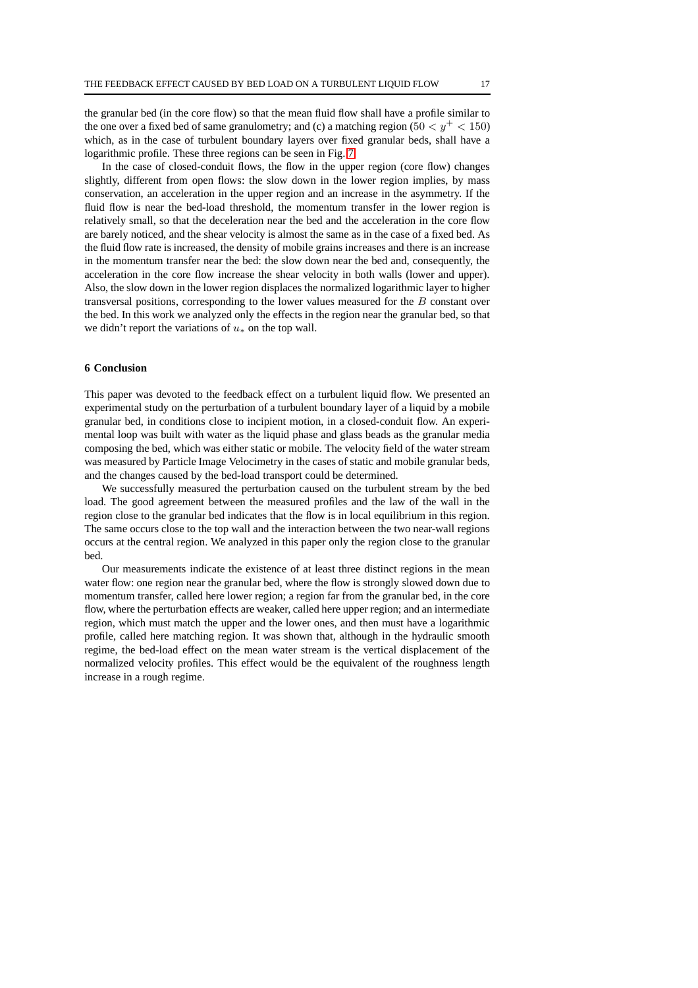the granular bed (in the core flow) so that the mean fluid flow shall have a profile similar to the one over a fixed bed of same granulometry; and (c) a matching region (50  $\lt y^+ \lt 150$ ) which, as in the case of turbulent boundary layers over fixed granular beds, shall have a logarithmic profile. These three regions can be seen in Fig. [7.](#page-12-1)

In the case of closed-conduit flows, the flow in the upper region (core flow) changes slightly, different from open flows: the slow down in the lower region implies, by mass conservation, an acceleration in the upper region and an increase in the asymmetry. If the fluid flow is near the bed-load threshold, the momentum transfer in the lower region is relatively small, so that the deceleration near the bed and the acceleration in the core flow are barely noticed, and the shear velocity is almost the same as in the case of a fixed bed. As the fluid flow rate is increased, the density of mobile grains increases and there is an increase in the momentum transfer near the bed: the slow down near the bed and, consequently, the acceleration in the core flow increase the shear velocity in both walls (lower and upper). Also, the slow down in the lower region displaces the normalized logarithmic layer to higher transversal positions, corresponding to the lower values measured for the B constant over the bed. In this work we analyzed only the effects in the region near the granular bed, so that we didn't report the variations of  $u_*$  on the top wall.

## **6 Conclusion**

This paper was devoted to the feedback effect on a turbulent liquid flow. We presented an experimental study on the perturbation of a turbulent boundary layer of a liquid by a mobile granular bed, in conditions close to incipient motion, in a closed-conduit flow. An experimental loop was built with water as the liquid phase and glass beads as the granular media composing the bed, which was either static or mobile. The velocity field of the water stream was measured by Particle Image Velocimetry in the cases of static and mobile granular beds, and the changes caused by the bed-load transport could be determined.

We successfully measured the perturbation caused on the turbulent stream by the bed load. The good agreement between the measured profiles and the law of the wall in the region close to the granular bed indicates that the flow is in local equilibrium in this region. The same occurs close to the top wall and the interaction between the two near-wall regions occurs at the central region. We analyzed in this paper only the region close to the granular bed.

Our measurements indicate the existence of at least three distinct regions in the mean water flow: one region near the granular bed, where the flow is strongly slowed down due to momentum transfer, called here lower region; a region far from the granular bed, in the core flow, where the perturbation effects are weaker, called here upper region; and an intermediate region, which must match the upper and the lower ones, and then must have a logarithmic profile, called here matching region. It was shown that, although in the hydraulic smooth regime, the bed-load effect on the mean water stream is the vertical displacement of the normalized velocity profiles. This effect would be the equivalent of the roughness length increase in a rough regime.